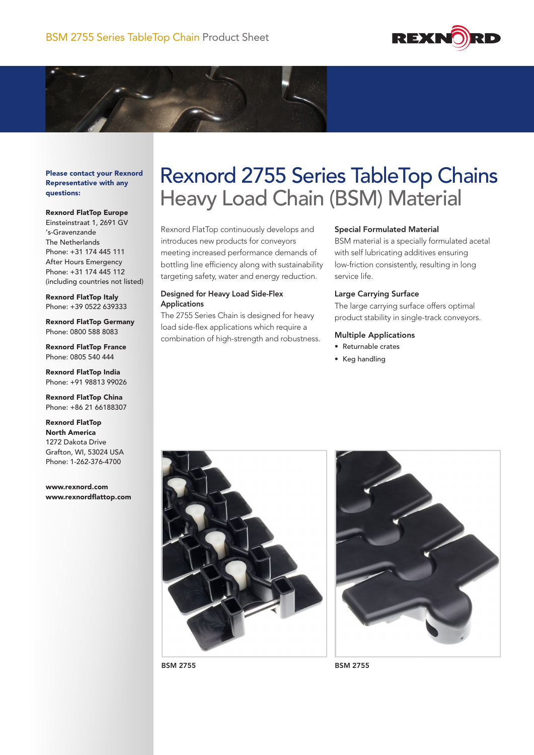



Please contact your Rexnord Representative with any questions:

#### Rexnord FlatTop Europe

Einsteinstraat 1, 2691 GV 's-Gravenzande The Netherlands Phone: +31 174 445 111 After Hours Emergency Phone: +31 174 445 112 (including countries not listed)

Rexnord FlatTop Italy Phone: +39 0522 639333

Rexnord FlatTop Germany Phone: 0800 588 8083

Rexnord FlatTop France Phone: 0805 540 444

Rexnord FlatTop India Phone: +91 98813 99026

Rexnord FlatTop China Phone: +86 21 66188307

Rexnord FlatTop North America 1272 Dakota Drive Grafton, WI, 53024 USA Phone: 1-262-376-4700

www.rexnord.com www.rexnordflattop.com

# Rexnord 2755 Series TableTop Chains Heavy Load Chain (BSM) Material

Rexnord FlatTop continuously develops and introduces new products for conveyors meeting increased performance demands of bottling line efficiency along with sustainability targeting safety, water and energy reduction.

## Designed for Heavy Load Side-Flex Applications

The 2755 Series Chain is designed for heavy load side-flex applications which require a combination of high-strength and robustness.

# Special Formulated Material

BSM material is a specially formulated acetal with self lubricating additives ensuring low-friction consistently, resulting in long service life.

#### Large Carrying Surface

The large carrying surface offers optimal product stability in single-track conveyors.

# Multiple Applications

- • Returnable crates
- • Keg handling